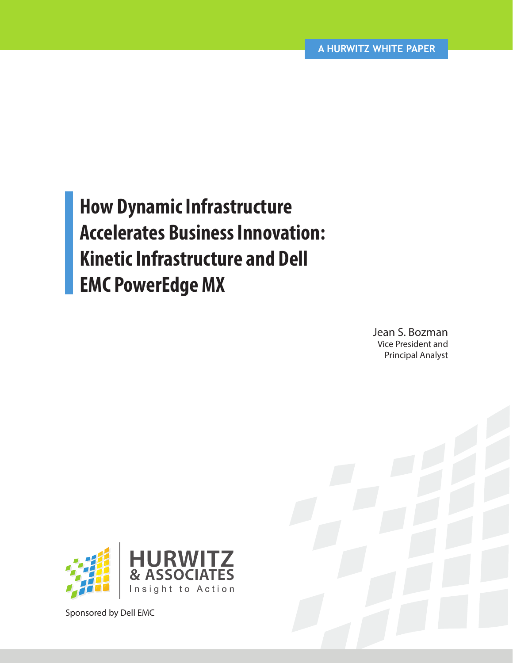**How Dynamic Infrastructure Accelerates Business Innovation: Kinetic Infrastructure and Dell EMC PowerEdge MX**

> Jean S. Bozman Vice President and Principal Analyst

**JRWITZ**<br>ssociates Insight to Action

Sponsored by Dell EMC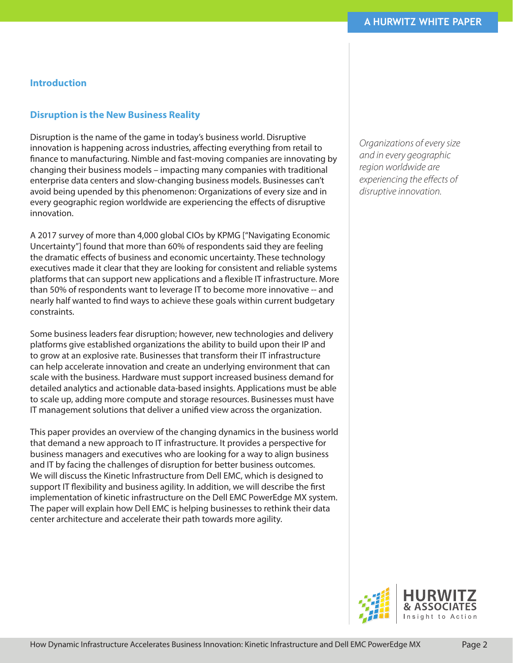# **Introduction**

## **Disruption is the New Business Reality**

Disruption is the name of the game in today's business world. Disruptive innovation is happening across industries, affecting everything from retail to finance to manufacturing. Nimble and fast-moving companies are innovating by changing their business models – impacting many companies with traditional enterprise data centers and slow-changing business models. Businesses can't avoid being upended by this phenomenon: Organizations of every size and in every geographic region worldwide are experiencing the effects of disruptive innovation.

A 2017 survey of more than 4,000 global CIOs by KPMG ["Navigating Economic Uncertainty"] found that more than 60% of respondents said they are feeling the dramatic effects of business and economic uncertainty. These technology executives made it clear that they are looking for consistent and reliable systems platforms that can support new applications and a flexible IT infrastructure. More than 50% of respondents want to leverage IT to become more innovative -- and nearly half wanted to find ways to achieve these goals within current budgetary constraints.

Some business leaders fear disruption; however, new technologies and delivery platforms give established organizations the ability to build upon their IP and to grow at an explosive rate. Businesses that transform their IT infrastructure can help accelerate innovation and create an underlying environment that can scale with the business. Hardware must support increased business demand for detailed analytics and actionable data-based insights. Applications must be able to scale up, adding more compute and storage resources. Businesses must have IT management solutions that deliver a unified view across the organization.

This paper provides an overview of the changing dynamics in the business world that demand a new approach to IT infrastructure. It provides a perspective for business managers and executives who are looking for a way to align business and IT by facing the challenges of disruption for better business outcomes. We will discuss the Kinetic Infrastructure from Dell EMC, which is designed to support IT flexibility and business agility. In addition, we will describe the first implementation of kinetic infrastructure on the Dell EMC PowerEdge MX system. The paper will explain how Dell EMC is helping businesses to rethink their data center architecture and accelerate their path towards more agility.

*Organizations of every size and in every geographic region worldwide are experiencing the effects of disruptive innovation.* 

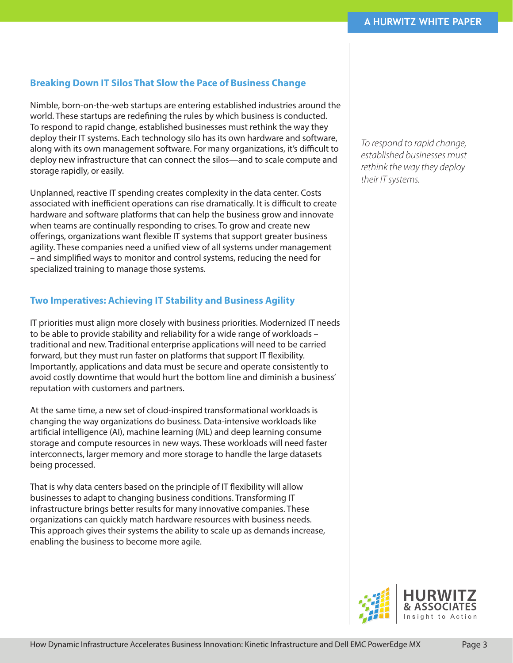# **Breaking Down IT Silos That Slow the Pace of Business Change**

Nimble, born-on-the-web startups are entering established industries around the world. These startups are redefining the rules by which business is conducted. To respond to rapid change, established businesses must rethink the way they deploy their IT systems. Each technology silo has its own hardware and software, along with its own management software. For many organizations, it's difficult to deploy new infrastructure that can connect the silos—and to scale compute and storage rapidly, or easily.

Unplanned, reactive IT spending creates complexity in the data center. Costs associated with inefficient operations can rise dramatically. It is difficult to create hardware and software platforms that can help the business grow and innovate when teams are continually responding to crises. To grow and create new offerings, organizations want flexible IT systems that support greater business agility. These companies need a unified view of all systems under management – and simplified ways to monitor and control systems, reducing the need for specialized training to manage those systems.

# **Two Imperatives: Achieving IT Stability and Business Agility**

IT priorities must align more closely with business priorities. Modernized IT needs to be able to provide stability and reliability for a wide range of workloads – traditional and new. Traditional enterprise applications will need to be carried forward, but they must run faster on platforms that support IT flexibility. Importantly, applications and data must be secure and operate consistently to avoid costly downtime that would hurt the bottom line and diminish a business' reputation with customers and partners.

At the same time, a new set of cloud-inspired transformational workloads is changing the way organizations do business. Data-intensive workloads like artificial intelligence (AI), machine learning (ML) and deep learning consume storage and compute resources in new ways. These workloads will need faster interconnects, larger memory and more storage to handle the large datasets being processed.

That is why data centers based on the principle of IT flexibility will allow businesses to adapt to changing business conditions. Transforming IT infrastructure brings better results for many innovative companies. These organizations can quickly match hardware resources with business needs. This approach gives their systems the ability to scale up as demands increase, enabling the business to become more agile.

*To respond to rapid change, established businesses must rethink the way they deploy their IT systems.*

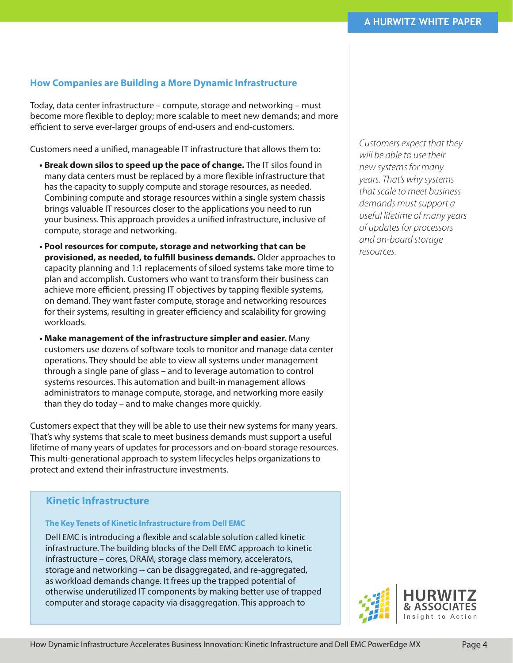# **How Companies are Building a More Dynamic Infrastructure**

Today, data center infrastructure – compute, storage and networking – must become more flexible to deploy; more scalable to meet new demands; and more efficient to serve ever-larger groups of end-users and end-customers.

Customers need a unified, manageable IT infrastructure that allows them to:

- **• Break down silos to speed up the pace of change.** The IT silos found in many data centers must be replaced by a more flexible infrastructure that has the capacity to supply compute and storage resources, as needed. Combining compute and storage resources within a single system chassis brings valuable IT resources closer to the applications you need to run your business. This approach provides a unified infrastructure, inclusive of compute, storage and networking.
- **• Pool resources for compute, storage and networking that can be provisioned, as needed, to fulfill business demands.** Older approaches to capacity planning and 1:1 replacements of siloed systems take more time to plan and accomplish. Customers who want to transform their business can achieve more efficient, pressing IT objectives by tapping flexible systems, on demand. They want faster compute, storage and networking resources for their systems, resulting in greater efficiency and scalability for growing workloads.
- **• Make management of the infrastructure simpler and easier.** Many customers use dozens of software tools to monitor and manage data center operations. They should be able to view all systems under management through a single pane of glass – and to leverage automation to control systems resources. This automation and built-in management allows administrators to manage compute, storage, and networking more easily than they do today – and to make changes more quickly.

Customers expect that they will be able to use their new systems for many years. That's why systems that scale to meet business demands must support a useful lifetime of many years of updates for processors and on-board storage resources. This multi-generational approach to system lifecycles helps organizations to protect and extend their infrastructure investments.

# **Kinetic Infrastructure**

#### **The Key Tenets of Kinetic Infrastructure from Dell EMC**

Dell EMC is introducing a flexible and scalable solution called kinetic infrastructure. The building blocks of the Dell EMC approach to kinetic infrastructure – cores, DRAM, storage class memory, accelerators, storage and networking -- can be disaggregated, and re-aggregated, as workload demands change. It frees up the trapped potential of otherwise underutilized IT components by making better use of trapped computer and storage capacity via disaggregation. This approach to

*Customers expect that they will be able to use their new systems for many years. That's why systems that scale to meet business demands must support a useful lifetime of many years of updates for processors and on-board storage resources.*

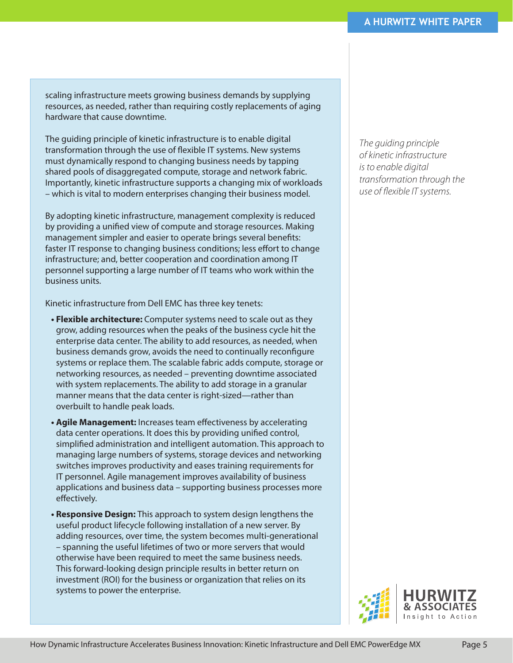scaling infrastructure meets growing business demands by supplying resources, as needed, rather than requiring costly replacements of aging hardware that cause downtime.

The guiding principle of kinetic infrastructure is to enable digital transformation through the use of flexible IT systems. New systems must dynamically respond to changing business needs by tapping shared pools of disaggregated compute, storage and network fabric. Importantly, kinetic infrastructure supports a changing mix of workloads – which is vital to modern enterprises changing their business model.

By adopting kinetic infrastructure, management complexity is reduced by providing a unified view of compute and storage resources. Making management simpler and easier to operate brings several benefits: faster IT response to changing business conditions; less effort to change infrastructure; and, better cooperation and coordination among IT personnel supporting a large number of IT teams who work within the business units.

Kinetic infrastructure from Dell EMC has three key tenets:

- **• Flexible architecture:** Computer systems need to scale out as they grow, adding resources when the peaks of the business cycle hit the enterprise data center. The ability to add resources, as needed, when business demands grow, avoids the need to continually reconfigure systems or replace them. The scalable fabric adds compute, storage or networking resources, as needed – preventing downtime associated with system replacements. The ability to add storage in a granular manner means that the data center is right-sized—rather than overbuilt to handle peak loads.
- **• Agile Management:** Increases team effectiveness by accelerating data center operations. It does this by providing unified control, simplified administration and intelligent automation. This approach to managing large numbers of systems, storage devices and networking switches improves productivity and eases training requirements for IT personnel. Agile management improves availability of business applications and business data – supporting business processes more effectively.
- **• Responsive Design:** This approach to system design lengthens the useful product lifecycle following installation of a new server. By adding resources, over time, the system becomes multi-generational – spanning the useful lifetimes of two or more servers that would otherwise have been required to meet the same business needs. This forward-looking design principle results in better return on investment (ROI) for the business or organization that relies on its systems to power the enterprise.

*The guiding principle of kinetic infrastructure is to enable digital transformation through the use of flexible IT systems.*

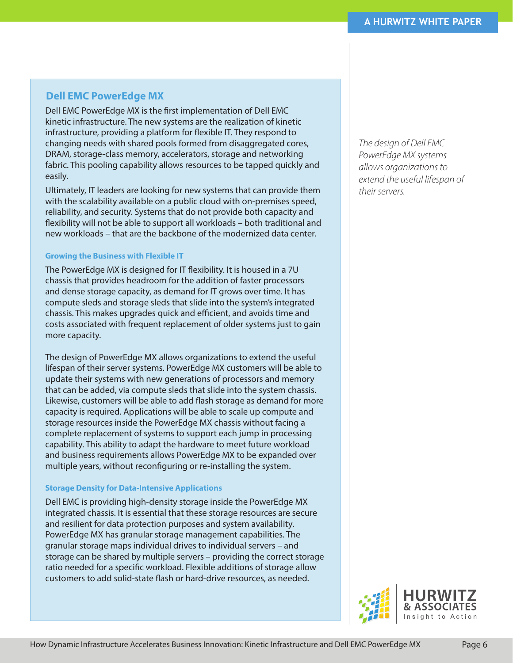# **Dell EMC PowerEdge MX**

Dell EMC PowerEdge MX is the first implementation of Dell EMC kinetic infrastructure. The new systems are the realization of kinetic infrastructure, providing a platform for flexible IT. They respond to changing needs with shared pools formed from disaggregated cores, DRAM, storage-class memory, accelerators, storage and networking fabric. This pooling capability allows resources to be tapped quickly and easily.

Ultimately, IT leaders are looking for new systems that can provide them with the scalability available on a public cloud with on-premises speed, reliability, and security. Systems that do not provide both capacity and flexibility will not be able to support all workloads – both traditional and new workloads – that are the backbone of the modernized data center.

### **Growing the Business with Flexible IT**

The PowerEdge MX is designed for IT flexibility. It is housed in a 7U chassis that provides headroom for the addition of faster processors and dense storage capacity, as demand for IT grows over time. It has compute sleds and storage sleds that slide into the system's integrated chassis. This makes upgrades quick and efficient, and avoids time and costs associated with frequent replacement of older systems just to gain more capacity.

The design of PowerEdge MX allows organizations to extend the useful lifespan of their server systems. PowerEdge MX customers will be able to update their systems with new generations of processors and memory that can be added, via compute sleds that slide into the system chassis. Likewise, customers will be able to add flash storage as demand for more capacity is required. Applications will be able to scale up compute and storage resources inside the PowerEdge MX chassis without facing a complete replacement of systems to support each jump in processing capability. This ability to adapt the hardware to meet future workload and business requirements allows PowerEdge MX to be expanded over multiple years, without reconfiguring or re-installing the system.

## **Storage Density for Data-Intensive Applications**

Dell EMC is providing high-density storage inside the PowerEdge MX integrated chassis. It is essential that these storage resources are secure and resilient for data protection purposes and system availability. PowerEdge MX has granular storage management capabilities. The granular storage maps individual drives to individual servers – and storage can be shared by multiple servers – providing the correct storage ratio needed for a specific workload. Flexible additions of storage allow customers to add solid-state flash or hard-drive resources, as needed.

*The design of Dell EMC PowerEdge MX systems allows organizations to extend the useful lifespan of their servers.*

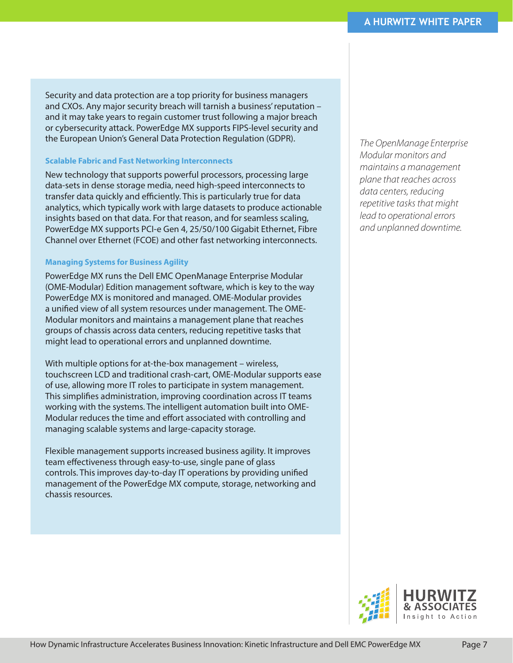Security and data protection are a top priority for business managers and CXOs. Any major security breach will tarnish a business' reputation – and it may take years to regain customer trust following a major breach or cybersecurity attack. PowerEdge MX supports FIPS-level security and the European Union's General Data Protection Regulation (GDPR).

### **Scalable Fabric and Fast Networking Interconnects**

New technology that supports powerful processors, processing large data-sets in dense storage media, need high-speed interconnects to transfer data quickly and efficiently. This is particularly true for data analytics, which typically work with large datasets to produce actionable insights based on that data. For that reason, and for seamless scaling, PowerEdge MX supports PCI-e Gen 4, 25/50/100 Gigabit Ethernet, Fibre Channel over Ethernet (FCOE) and other fast networking interconnects.

### **Managing Systems for Business Agility**

PowerEdge MX runs the Dell EMC OpenManage Enterprise Modular (OME-Modular) Edition management software, which is key to the way PowerEdge MX is monitored and managed. OME-Modular provides a unified view of all system resources under management. The OME-Modular monitors and maintains a management plane that reaches groups of chassis across data centers, reducing repetitive tasks that might lead to operational errors and unplanned downtime.

With multiple options for at-the-box management – wireless, touchscreen LCD and traditional crash-cart, OME-Modular supports ease of use, allowing more IT roles to participate in system management. This simplifies administration, improving coordination across IT teams working with the systems. The intelligent automation built into OME-Modular reduces the time and effort associated with controlling and managing scalable systems and large-capacity storage.

Flexible management supports increased business agility. It improves team effectiveness through easy-to-use, single pane of glass controls. This improves day-to-day IT operations by providing unified management of the PowerEdge MX compute, storage, networking and chassis resources.

*The OpenManage Enterprise Modular monitors and maintains a management plane that reaches across data centers, reducing repetitive tasks that might lead to operational errors and unplanned downtime.* 

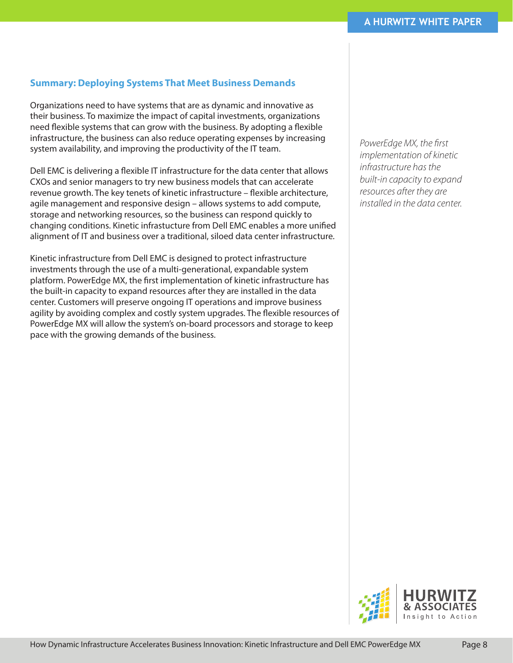# **Summary: Deploying Systems That Meet Business Demands**

Organizations need to have systems that are as dynamic and innovative as their business. To maximize the impact of capital investments, organizations need flexible systems that can grow with the business. By adopting a flexible infrastructure, the business can also reduce operating expenses by increasing system availability, and improving the productivity of the IT team.

Dell EMC is delivering a flexible IT infrastructure for the data center that allows CXOs and senior managers to try new business models that can accelerate revenue growth. The key tenets of kinetic infrastructure – flexible architecture, agile management and responsive design – allows systems to add compute, storage and networking resources, so the business can respond quickly to changing conditions. Kinetic infrastucture from Dell EMC enables a more unified alignment of IT and business over a traditional, siloed data center infrastructure.

Kinetic infrastructure from Dell EMC is designed to protect infrastructure investments through the use of a multi-generational, expandable system platform. PowerEdge MX, the first implementation of kinetic infrastructure has the built-in capacity to expand resources after they are installed in the data center. Customers will preserve ongoing IT operations and improve business agility by avoiding complex and costly system upgrades. The flexible resources of PowerEdge MX will allow the system's on-board processors and storage to keep pace with the growing demands of the business.

*PowerEdge MX, the first implementation of kinetic infrastructure has the built-in capacity to expand resources after they are installed in the data center.*